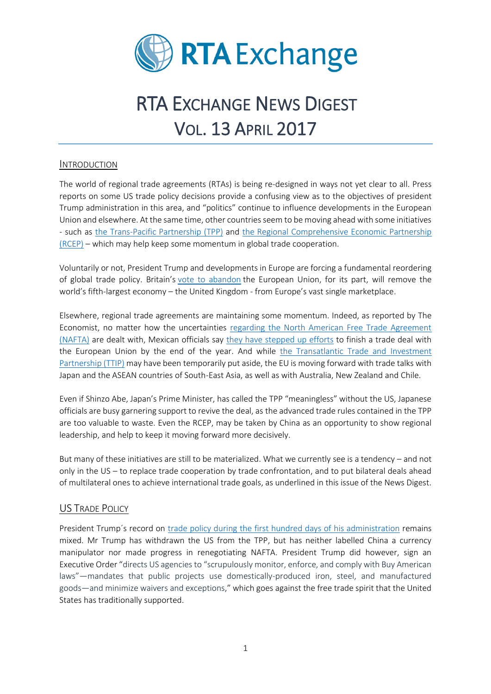

# RTA EXCHANGE NEWS DIGEST VOL. 13 APRIL 2017

## INTRODUCTION

The world of regional trade agreements (RTAs) is being re-designed in ways not yet clear to all. Press reports on some US trade policy decisions provide a confusing view as to the objectives of president Trump administration in this area, and "politics" continue to influence developments in the European Union and elsewhere. At the same time, other countries seem to be moving ahead with some initiatives - such as the Trans-Pacific [Partnership \(TPP\)](https://ustr.gov/trade-agreements/free-trade-agreements/trans-pacific-partnership/tpp-full-text) and [the Regional Comprehensive Economic Partnership](http://www.bilaterals.org/rcep)  [\(RCEP\)](http://www.bilaterals.org/rcep) – which may help keep some momentum in global trade cooperation.

Voluntarily or not, President Trump and developments in Europe are forcing a fundamental reordering of global trade policy. Britain's [vote to abandon](https://www.nytimes.com/2017/03/30/business/brexit-britain-eu-economy-banks.html) the European Union, for its part, will remove the world's fifth-largest economy – the United Kingdom - from Europe's vast single marketplace.

Elsewhere, regional trade agreements are maintaining some momentum. Indeed, as reported by The Economist, no matter how the uncertainties [regarding the North American Free Trade Agreement](https://www.nafta-sec-alena.org/Home/Welcome)  [\(NAFTA\)](https://www.nafta-sec-alena.org/Home/Welcome) are dealt with, Mexican officials say [they have stepped up efforts](http://www.economist.com/news/finance-and-economics/21721409-hopes-protectionist-candidate-would-mellow-office-are-fading-trump) to finish a trade deal with the European Union by the end of the year. And while [the Transatlantic Trade and Investment](http://ec.europa.eu/trade/policy/in-focus/ttip/)  [Partnership](http://ec.europa.eu/trade/policy/in-focus/ttip/) (TTIP) may have been temporarily put aside, the EU is moving forward with trade talks with Japan and the ASEAN countries of South-East Asia, as well as with Australia, New Zealand and Chile.

Even if Shinzo Abe, Japan's Prime Minister, has called the TPP "meaningless" without the US, Japanese officials are busy garnering support to revive the deal, as the advanced trade rules contained in the TPP are too valuable to waste. Even the RCEP, may be taken by China as an opportunity to show regional leadership, and help to keep it moving forward more decisively.

But many of these initiatives are still to be materialized. What we currently see is a tendency – and not only in the US – to replace trade cooperation by trade confrontation, and to put bilateral deals ahead of multilateral ones to achieve international trade goals, as underlined in this issue of the News Digest.

# US TRADE POLICY

President Trump´s record on [trade policy during the first hundred days of his administration](https://piie.com/blogs/trade-investment-policy-watch/100-plus-days-trade-policy-review-key-administration-actions) remains mixed. Mr Trump has withdrawn the US from the TPP, but has neither labelled China a currency manipulator nor made progress in renegotiating NAFTA. President Trump did however, sign an Executive Order "directs US agencies to "scrupulously monitor, enforce, and comply with Buy American laws"—mandates that public projects use domestically-produced iron, steel, and manufactured goods—and minimize waivers and exceptions," which goes against the free trade spirit that the United States has traditionally supported.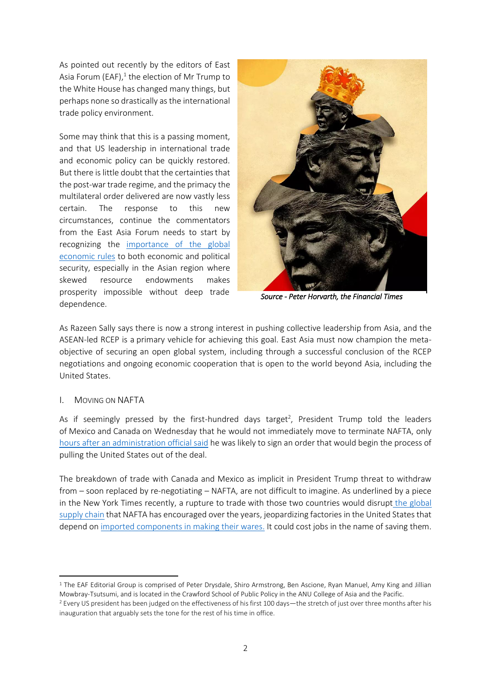As pointed out recently by the editors of East Asia Forum (EAF), $^1$  the election of Mr Trump to the White House has changed many things, but perhaps none so drastically as the international trade policy environment.

Some may think that this is a passing moment, and that US leadership in international trade and economic policy can be quickly restored. But there is little doubt that the certainties that the post-war trade regime, and the primacy the multilateral order delivered are now vastly less certain. The response to this new circumstances, continue the commentators from the East Asia Forum needs to start by recognizing the [importance of the global](http://www.eastasiaforum.org/2017/04/24/trumps-threat-to-the-global-trade-regime-undermines-economic-and-political-security/)  [economic rules](http://www.eastasiaforum.org/2017/04/24/trumps-threat-to-the-global-trade-regime-undermines-economic-and-political-security/) to both economic and political security, especially in the Asian region where skewed resource endowments makes prosperity impossible without deep trade dependence.



*Source - Peter Horvarth, the Financial Times* 

As Razeen Sally says there is now a strong interest in pushing collective leadership from Asia, and the ASEAN-led RCEP is a primary vehicle for achieving this goal. East Asia must now champion the metaobjective of securing an open global system, including through a successful conclusion of the RCEP negotiations and ongoing economic cooperation that is open to the world beyond Asia, including the United States.

#### I. MOVING ON NAFTA

**.** 

As if seemingly pressed by the first-hundred days target<sup>2</sup>, President Trump told the leaders of Mexico and Canada on Wednesday that he would not immediately move to terminate NAFTA, only [hours after an administration official said](https://www.nytimes.com/2017/04/26/us/politics/nafta-executive-order-trump.html?emc=edit_na_20170426&nl=breaking-news&nlid=59885640&ref=headline&_r=1) he was likely to sign an order that would begin the process of pulling the United States out of the deal.

The breakdown of trade with Canada and Mexico as implicit in President Trump threat to withdraw from – soon replaced by re-negotiating – NAFTA, are not difficult to imagine. As underlined by a piece in the New York Times recently, a rupture to trade with those two countries would disrupt [the global](https://www.nytimes.com/2016/12/02/business/economy/trump-manufacturing-jobs-world-trade-china.html)  [supply chain](https://www.nytimes.com/2016/12/02/business/economy/trump-manufacturing-jobs-world-trade-china.html) that NAFTA has encouraged over the years, jeopardizing factories in the United States that depend on [imported components in making their wares.](https://www.nytimes.com/2017/04/30/business/trump-nafta-trade-economy.html?_r=0) It could cost jobs in the name of saving them.

<sup>1</sup> The EAF Editorial Group is comprised of Peter Drysdale, Shiro Armstrong, Ben Ascione, Ryan Manuel, Amy King and Jillian Mowbray-Tsutsumi, and is located in the Crawford School of Public Policy in the ANU College of Asia and the Pacific. <sup>2</sup> Every US president has been judged on the effectiveness of his first 100 days—the stretch of just over three months after his inauguration that arguably sets the tone for the rest of his time in office.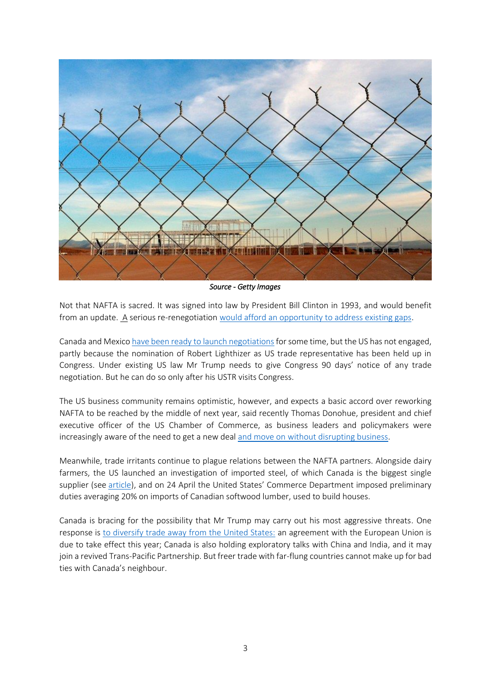

*Source - Getty Images* 

Not that NAFTA is sacred. It was signed into law by President Bill Clinton in 1993, and would benefit from an update. A serious re-renegotiation [would afford an opportunity to address existing gaps.](https://www.nytimes.com/2017/04/30/business/trump-nafta-trade-economy.html?_r=0)

Canada and Mexico have been [ready to launch negotiations](https://www.ft.com/content/1d5a700e-0b43-11e7-97d1-5e720a26771b) for some time, but the US has not engaged, partly because the nomination of Robert Lighthizer as US trade representative has been held up in Congress. Under existing US law Mr Trump needs to give Congress 90 days' notice of any trade negotiation. But he can do so only after his USTR visits Congress.

The US business community remains optimistic, however, and expects a basic accord over reworking NAFTA to be reached by the middle of next year, said recently Thomas Donohue, president and chief executive officer of the US Chamber of Commerce, as business leaders and policymakers were increasingly aware of the need to get a new dea[l and move on without disrupting business.](http://www.reuters.com/article/us-usa-mexico-nafta-idUSKBN17Q0DV)

Meanwhile, trade irritants continue to plague relations between the NAFTA partners. Alongside dairy farmers, the US launched an investigation of imported steel, of which Canada is the biggest single supplier (see [article\)](http://www.economist.com/news/finance-and-economics/21721409-hopes-protectionist-candidate-would-mellow-office-are-fading-trump), and on 24 April the United States' Commerce Department imposed preliminary duties averaging 20% on imports of Canadian softwood lumber, used to build houses.

Canada is bracing for the possibility that Mr Trump may carry out his most aggressive threats. One response is [to diversify trade away from the United States:](http://www.economist.com/news/americas/21721416-attacks-dairy-farmers-and-loggers-are-opening-shots-bigger-confrontation-over) an agreement with the European Union is due to take effect this year; Canada is also holding exploratory talks with China and India, and it may join a revived Trans-Pacific Partnership. But freer trade with far-flung countries cannot make up for bad ties with Canada's neighbour.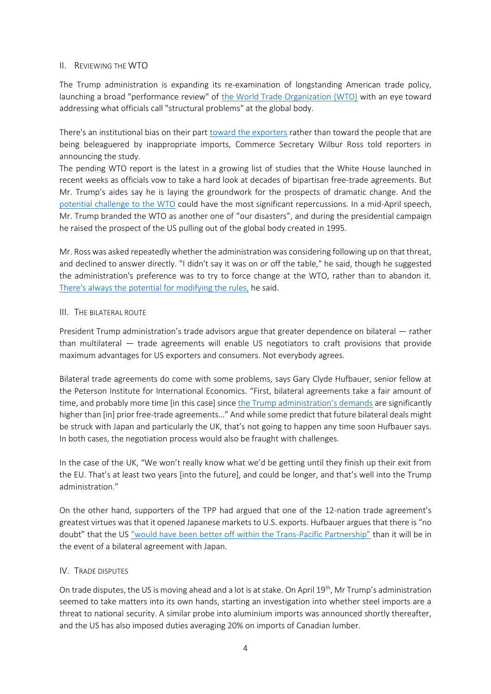## II. REVIEWING THE WTO

The Trump administration is expanding its re-examination of longstanding American trade policy, launching a broad "performance review" of [the World Trade Organization](https://www.wto.org/) (WTO) with an eye toward addressing what officials call "structural problems" at the global body.

There's an institutional bias on their part [toward the exporters](http://news.morningstar.com/all/dow-jones/us-markets/2017042814731/trump-ramps-up-pressure-on-wto.aspx) rather than toward the people that are being beleaguered by inappropriate imports, Commerce Secretary Wilbur Ross told reporters in announcing the study.

The pending WTO report is the latest in a growing list of studies that the White House launched in recent weeks as officials vow to take a hard look at decades of bipartisan free-trade agreements. But Mr. Trump's aides say he is laying the groundwork for the prospects of dramatic change. And the [potential challenge to the WTO](http://news.morningstar.com/all/dow-jones/us-markets/2017042814731/trump-ramps-up-pressure-on-wto.aspx) could have the most significant repercussions. In a mid-April speech, Mr. Trump branded the WTO as another one of "our disasters", and during the presidential campaign he raised the prospect of the US pulling out of the global body created in 1995.

Mr. Ross was asked repeatedly whether the administration was considering following up on that threat, and declined to answer directly. "I didn't say it was on or off the table," he said, though he suggested the administration's preference was to try to force change at the WTO, rather than to abandon it. [There's always the potential for modifying the rules,](http://news.morningstar.com/all/dow-jones/us-markets/2017042814731/trump-ramps-up-pressure-on-wto.aspx) he said.

## III. THE BILATERAL ROUTE

President Trump administration's trade advisors argue that greater dependence on bilateral — rather than multilateral — trade agreements will enable US negotiators to craft provisions that provide maximum advantages for US exporters and consumers. Not everybody agrees.

Bilateral trade agreements do come with some problems, says Gary Clyde Hufbauer, senior fellow at the Peterson Institute for International Economics. "First, bilateral agreements take a fair amount of time, and probably more time [in this case] since [the Trump administration's de](http://knowledge.wharton.upenn.edu/article/bilateral-multilateral-trade-partnerships-work-best/)mands are significantly higher than [in] prior free-trade agreements..." And while some predict that future bilateral deals might be struck with Japan and particularly the UK, that's not going to happen any time soon Hufbauer says. In both cases, the negotiation process would also be fraught with challenges.

In the case of the UK, "We won't really know what we'd be getting until they finish up their exit from the EU. That's at least two years [into the future], and could be longer, and that's well into the Trump administration."

On the other hand, supporters of the TPP had argued that one of the 12-nation trade agreement's greatest virtues was that it opened Japanese markets to U.S. exports. Hufbauer argues that there is "no doubt" that the US ["would have been better off within the Trans](http://knowledge.wharton.upenn.edu/article/bilateral-multilateral-trade-partnerships-work-best/)-Pacific Partnership" than it will be in the event of a bilateral agreement with Japan.

#### IV. TRADE DISPUTES

On trade disputes, the US is moving ahead and a lot is at stake. On April 19<sup>th</sup>, Mr Trump's administration seemed to take matters into its own hands, starting an investigation into whether steel imports are a threat to national security. A similar probe into aluminium imports was announced shortly thereafter, and the US has also imposed duties averaging 20% on imports of Canadian lumber.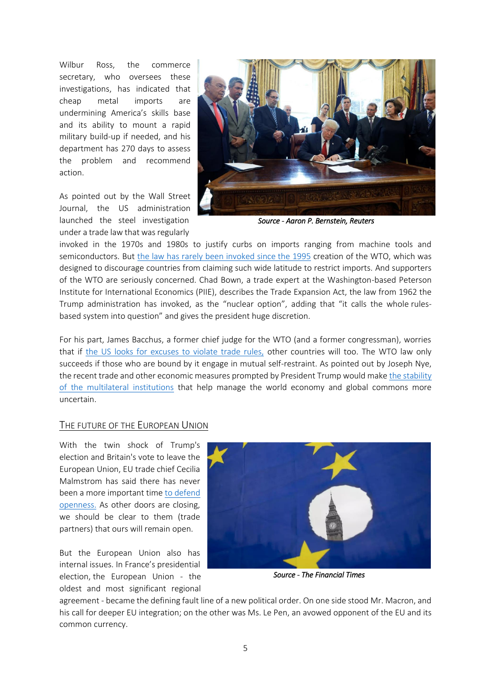Wilbur Ross, the commerce secretary, who oversees these investigations, has indicated that cheap metal imports are undermining America's skills base and its ability to mount a rapid military build-up if needed, and his department has 270 days to assess the problem and recommend action.

As pointed out by the Wall Street Journal, the US administration launched the steel investigation under a trade law that was regularly



*Source - Aaron P. Bernstein, Reuters* 

invoked in the 1970s and 1980s to justify curbs on imports ranging from machine tools and semiconductors. But [the law has rarely been invoked since](https://www.wsj.com/articles/trump-administration-launches-national-security-probe-on-steel-imports-1492712013) the 1995 creation of the WTO, which was designed to discourage countries from claiming such wide latitude to restrict imports. And supporters of the WTO are seriously concerned. Chad Bown, a trade expert at the Washington-based Peterson Institute for International Economics (PIIE), describes the Trade Expansion Act, the law from 1962 the Trump administration has invoked, as the "nuclear option", adding that "it calls the whole rulesbased system into question" and gives the president huge discretion.

For his part, James Bacchus, a former chief judge for the WTO (and a former congressman), worries that if [the US looks for excuses to violate trade rules,](https://www.wsj.com/articles/trump-administration-launches-national-security-probe-on-steel-imports-1492712013) other countries will too. The WTO law only succeeds if those who are bound by it engage in mutual self-restraint. As pointed out by Joseph Nye, the recent trade and other economic measures prompted by President Trump would make [the stability](https://www.project-syndicate.org/commentary/american-institutions-resilence-trump-by-joseph-s--nye-2017-04?utm_source=Project+Syndicate+Newsletter&utm_campaign=1989fe8438-sunday_newsletter_16_4_2017&utm_medium=email&utm_term=0_73bad5b7d8-1989fe8438-105024485)  [of the multilateral institutions](https://www.project-syndicate.org/commentary/american-institutions-resilence-trump-by-joseph-s--nye-2017-04?utm_source=Project+Syndicate+Newsletter&utm_campaign=1989fe8438-sunday_newsletter_16_4_2017&utm_medium=email&utm_term=0_73bad5b7d8-1989fe8438-105024485) that help manage the world economy and global commons more uncertain.

## THE FUTURE OF THE EUROPEAN UNION

With the twin shock of Trump's election and Britain's vote to leave the European Union, EU trade chief Cecilia Malmstrom has said there has never been a more important time [to defend](http://www.reuters.com/article/us-eu-trade-idUSKBN17S1Q2)  [openness.](http://www.reuters.com/article/us-eu-trade-idUSKBN17S1Q2) As other doors are closing, we should be clear to them (trade partners) that ours will remain open.

But the European Union also has internal issues. In France's presidential election, the European Union - the oldest and most significant regional



*Source - The Financial Times* 

agreement - became the defining fault line of a new political order. On one side stood Mr. Macron, and his call for deeper EU integration; on the other was Ms. Le Pen, an avowed opponent of the EU and its common currency.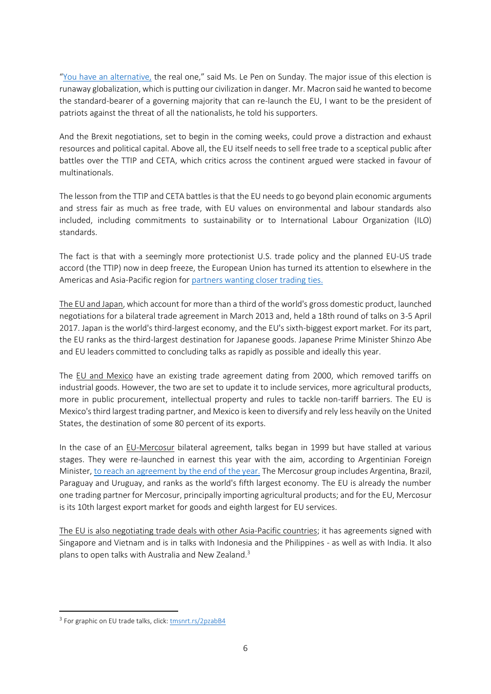"[You have an alternative,](https://www.wsj.com/articles/macron-le-pen-seen-advancing-to-french-presidential-runoff-1492971783) the real one," said Ms. Le Pen on Sunday. The major issue of this election is runaway globalization, which is putting our civilization in danger. Mr. Macron said he wanted to become the standard-bearer of a governing majority that can re-launch the EU, I want to be the president of patriots against the threat of all the nationalists, he told his supporters.

And the Brexit negotiations, set to begin in the coming weeks, could prove a distraction and exhaust resources and political capital. Above all, the EU itself needs to sell free trade to a sceptical public after battles over the TTIP and CETA, which critics across the continent argued were stacked in favour of multinationals.

The lesson from the TTIP and CETA battles is that the EU needs to go beyond plain economic arguments and stress fair as much as free trade, with EU values on environmental and labour standards also included, including commitments to sustainability or to International Labour Organization (ILO) standards.

The fact is that with a seemingly more protectionist U.S. trade policy and the planned EU-US trade accord (the TTIP) now in deep freeze, the European Union has turned its attention to elsewhere in the Americas and Asia-Pacific region for [partners wanting closer trading ties.](http://www.reuters.com/article/us-eu-trade-factbox-idUSKBN17S1QB?mod=related&channelName=ousivMolt)

The EU and Japan, which account for more than a third of the world's gross domestic product, launched negotiations for a bilateral trade agreement in March 2013 and, held a 18th round of talks on 3-5 April 2017. Japan is the world's third-largest economy, and the EU's sixth-biggest export market. For its part, the EU ranks as the third-largest destination for Japanese goods. Japanese Prime Minister Shinzo Abe and EU leaders committed to concluding talks as rapidly as possible and ideally this year.

The EU and Mexico have an existing trade agreement dating from 2000, which removed tariffs on industrial goods. However, the two are set to update it to include services, more agricultural products, more in public procurement, intellectual property and rules to tackle non-tariff barriers. The EU is Mexico's third largest trading partner, and Mexico is keen to diversify and rely less heavily on the United States, the destination of some 80 percent of its exports.

In the case of an EU-Mercosur bilateral agreement, talks began in 1999 but have stalled at various stages. They were re-launched in earnest this year with the aim, according to Argentinian Foreign Minister, [to reach an agreement by the end of the year.](http://www.efe.com/efe/espana/portada/la-canciller-argentina-aspira-a-un-preacuerdo-entre-ue-y-mercosur-en-diciembre/10010-3246743) The Mercosur group includes Argentina, Brazil, Paraguay and Uruguay, and ranks as the world's fifth largest economy. The EU is already the number one trading partner for Mercosur, principally importing agricultural products; and for the EU, Mercosur is its 10th largest export market for goods and eighth largest for EU services.

The EU is also negotiating trade deals with other Asia-Pacific countries; it has agreements signed with Singapore and Vietnam and is in talks with Indonesia and the Philippines - as well as with India. It also plans to open talks with Australia and New Zealand.<sup>3</sup>

**.** 

<sup>&</sup>lt;sup>3</sup> For graphic on EU trade talks, click: [tmsnrt.rs/2pzabB4](http://tmsnrt.rs/2pzabB4)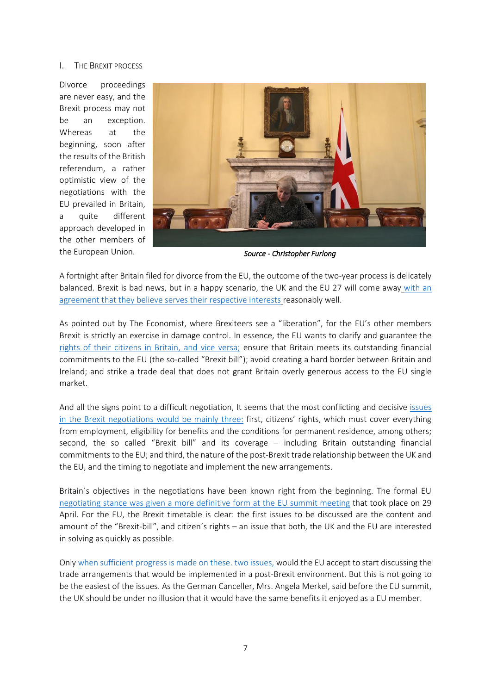#### I. THE BREXIT PROCESS

Divorce proceedings are never easy, and the Brexit process may not be an exception. Whereas at the beginning, soon after the results of the British referendum, a rather optimistic view of the negotiations with the EU prevailed in Britain, a quite different approach developed in the other members of the European Union.



*Source - Christopher Furlong* 

A fortnight after Britain filed for divorce from the EU, the outcome of the two-year process is delicately balanced. Brexit is bad news, but in a happy scenario, the UK and the EU 27 will come away [with an](https://www.ft.com/content/170ba108-1ee1-11e7-a454-ab04428977f9?desktop=true&segmentId=7c8f09b9-9b61-4fbb-9430-9208a9e233c8#myft:notification:daily-email:content:headline:html)  [agreement that they believe serves their respective interests](https://www.ft.com/content/170ba108-1ee1-11e7-a454-ab04428977f9?desktop=true&segmentId=7c8f09b9-9b61-4fbb-9430-9208a9e233c8#myft:notification:daily-email:content:headline:html) reasonably well.

As pointed out by The Economist, where Brexiteers see a "liberation", for the EU's other members Brexit is strictly an exercise in damage control. In essence, the EU wants to clarify and guarantee the [rights of their citizens in Britain, and vice versa;](http://www.economist.com/news/europe/21721511-27-remaining-members-sign-common-negotiating-strategy-eu-summit-shows-unity?cid1=cust/ddnew/n/n/n/2017051n/owned/n/n/nwl/n/n/E/Daily_Dispatch/email&etear=dailydispatch) ensure that Britain meets its outstanding financial commitments to the EU (the so-called "Brexit bill"); avoid creating a hard border between Britain and Ireland; and strike a trade deal that does not grant Britain overly generous access to the EU single market.

And all the signs point to a difficult negotiation, It seems that the most conflicting and decisive [issues](http://www.economist.com/news/europe/21721511-27-remaining-members-sign-common-negotiating-strategy-eu-summit-shows-unity?cid1=cust/ddnew/n/n/n/2017051n/owned/n/n/nwl/n/n/E/Daily_Dispatch/email&etear=dailydispatch)  [in the Brexit negotiations would be mainly three:](http://www.economist.com/news/europe/21721511-27-remaining-members-sign-common-negotiating-strategy-eu-summit-shows-unity?cid1=cust/ddnew/n/n/n/2017051n/owned/n/n/nwl/n/n/E/Daily_Dispatch/email&etear=dailydispatch) first, citizens' rights, which must cover everything from employment, eligibility for benefits and the conditions for permanent residence, among others; second, the so called "Brexit bill" and its coverage – including Britain outstanding financial commitments to the EU; and third, the nature of the post-Brexit trade relationship between the UK and the EU, and the timing to negotiate and implement the new arrangements.

Britain´s objectives in the negotiations have been known right from the beginning. The formal EU [negotiating stance was given a more definitive form at the](http://internacional.elpais.com/internacional/2017/04/29/actualidad/1493456235_466316.html) EU summit meeting that took place on 29 April. For the EU, the Brexit timetable is clear: the first issues to be discussed are the content and amount of the "Brexit-bill", and citizen´s rights – an issue that both, the UK and the EU are interested in solving as quickly as possible.

Onl[y when sufficient progress is made](http://internacional.elpais.com/internacional/2017/04/27/actualidad/1493285631_032397.html) on these. two issues, would the EU accept to start discussing the trade arrangements that would be implemented in a post-Brexit environment. But this is not going to be the easiest of the issues. As the German Canceller, Mrs. Angela Merkel, said before the EU summit, the UK should be under no illusion that it would have the same benefits it enjoyed as a EU member.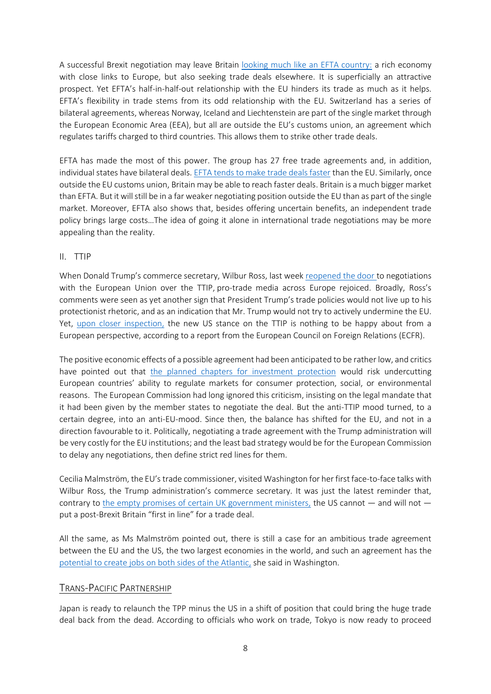A successful Brexit negotiation may leave Britain [looking much like an EFTA country:](http://www.economist.com/news/finance-and-economics/21720626-striking-trade-deals-quickly-bonus-what-really-matters-quality) a rich economy with close links to Europe, but also seeking trade deals elsewhere. It is superficially an attractive prospect. Yet EFTA's half-in-half-out relationship with the EU hinders its trade as much as it helps. EFTA's flexibility in trade stems from its odd relationship with the EU. Switzerland has a series of bilateral agreements, whereas Norway, Iceland and Liechtenstein are part of the single market through the European Economic Area (EEA), but all are outside the EU's customs union, an agreement which regulates tariffs charged to third countries. This allows them to strike other trade deals.

EFTA has made the most of this power. The group has 27 free trade agreements and, in addition, individual states have bilateral deals. [EFTA tends to make trade deals faster](http://www.economist.com/news/finance-and-economics/21720626-striking-trade-deals-quickly-bonus-what-really-matters-quality) than the EU. Similarly, once outside the EU customs union, Britain may be able to reach faster deals. Britain is a much bigger market than EFTA. But it will still be in a far weaker negotiating position outside the EU than as part of the single market. Moreover, EFTA also shows that, besides offering uncertain benefits, an independent trade policy brings large costs…The idea of going it alone in international trade negotiations may be more appealing than the reality.

## II. TTIP

When Donald Trump's commerce secretary, Wilbur Ross, last week [reopened the door](https://www.ft.com/content/7996f226-282a-11e7-9ec8-168383da43b7) to negotiations with the European Union over the TTIP, pro-trade media across Europe rejoiced. Broadly, Ross's comments were seen as yet another sign that President Trump's trade policies would not live up to his protectionist rhetoric, and as an indication that Mr. Trump would not try to actively undermine the EU. Yet, [upon closer inspection,](http://www.ecfr.eu/article/commentary_trumps_poisoned_ttip_chalice) the new US stance on the TTIP is nothing to be happy about from a European perspective, according to a report from the European Council on Foreign Relations (ECFR).

The positive economic effects of a possible agreement had been anticipated to be rather low, and critics have pointed out that [the planned chapters for investment protection](http://www.ecfr.eu/article/commentary_why_we_favour_ditching_investment_protection_in_ttip422) would risk undercutting European countries' ability to regulate markets for consumer protection, social, or environmental reasons. The European Commission had long ignored this criticism, insisting on the legal mandate that it had been given by the member states to negotiate the deal. But the anti-TTIP mood turned, to a certain degree, into an anti-EU-mood. Since then, the balance has shifted for the EU, and not in a direction favourable to it. Politically, negotiating a trade agreement with the Trump administration will be very costly for the EU institutions; and the least bad strategy would be for the European Commission to delay any negotiations, then define strict red lines for them.

Cecilia Malmström, the EU's trade commissioner, visited Washington for her first face-to-face talks with Wilbur Ross, the Trump administration's commerce secretary. It was just the latest reminder that, contrary to [the empty promises of certain UK government ministers,](https://www.ft.com/content/f6be0ac8-2a73-11e7-bc4b-5528796fe35c?desktop=true&segmentId=7c8f09b9-9b61-4fbb-9430-9208a9e233c8#myft:notification:daily-email:content:headline:html) the US cannot  $-$  and will not  $$ put a post-Brexit Britain "first in line" for a trade deal.

All the same, as Ms Malmström pointed out, there is still a case for an ambitious trade agreement between the EU and the US, the two largest economies in the world, and such an agreement has the [potential to create jobs on both sides of the Atlantic,](https://www.ft.com/content/f6be0ac8-2a73-11e7-bc4b-5528796fe35c?desktop=true&segmentId=7c8f09b9-9b61-4fbb-9430-9208a9e233c8#myft:notification:daily-email:content:headline:html) she said in Washington.

# TRANS-PACIFIC PARTNERSHIP

Japan is ready to relaunch the TPP minus the US in a shift of position that could bring the huge trade deal back from the dead. According to officials who work on trade, Tokyo is now ready to proceed